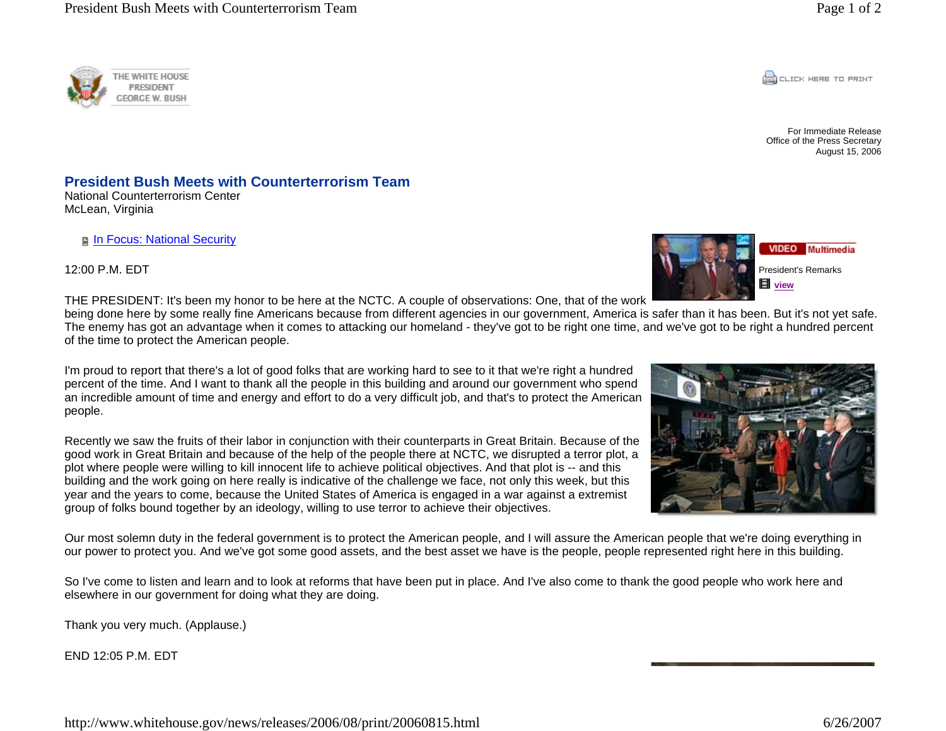**CONCRETE PRINT** 

For Immediate ReleaseOffice of the Press Secretary August 15, 2006

## **President Bush Meets with Counterterrorism Team**

National Counterterrorism Center McLean, Virginia

THE WHITE HOUSE

**PRESIDENT FORGE W. BUSH** 

**n** In Focus: National Security

12:00 P.M. EDT

VIDEO Multimedia President's Remarks **view**

THE PRESIDENT: It's been my honor to be here at the NCTC. A couple of observations: One, that of the work

being done here by some really fine Americans because from different agencies in our government, America is safer than it has been. But it's not yet safe. The enemy has got an advantage when it comes to attacking our homeland - they've got to be right one time, and we've got to be right a hundred percent of the time to protect the American people.

I'm proud to report that there's a lot of good folks that are working hard to see to it that we're right a hundred percent of the time. And I want to thank all the people in this building and around our government who spend an incredible amount of time and energy and effort to do a very difficult job, and that's to protect the American people.

Recently we saw the fruits of their labor in conjunction with their counterparts in Great Britain. Because of the good work in Great Britain and because of the help of the people there at NCTC, we disrupted a terror plot, a plot where people were willing to kill innocent life to achieve political objectives. And that plot is -- and this building and the work going on here really is indicative of the challenge we face, not only this week, but this year and the years to come, because the United States of America is engaged in a war against a extremist group of folks bound together by an ideology, willing to use terror to achieve their objectives.

Our most solemn duty in the federal government is to protect the American people, and I will assure the American people that we're doing everything in our power to protect you. And we've got some good assets, and the best asset we have is the people, people represented right here in this building.

So I've come to listen and learn and to look at reforms that have been put in place. And I've also come to thank the good people who work here and elsewhere in our government for doing what they are doing.

Thank you very much. (Applause.)

END 12:05 P.M. EDT